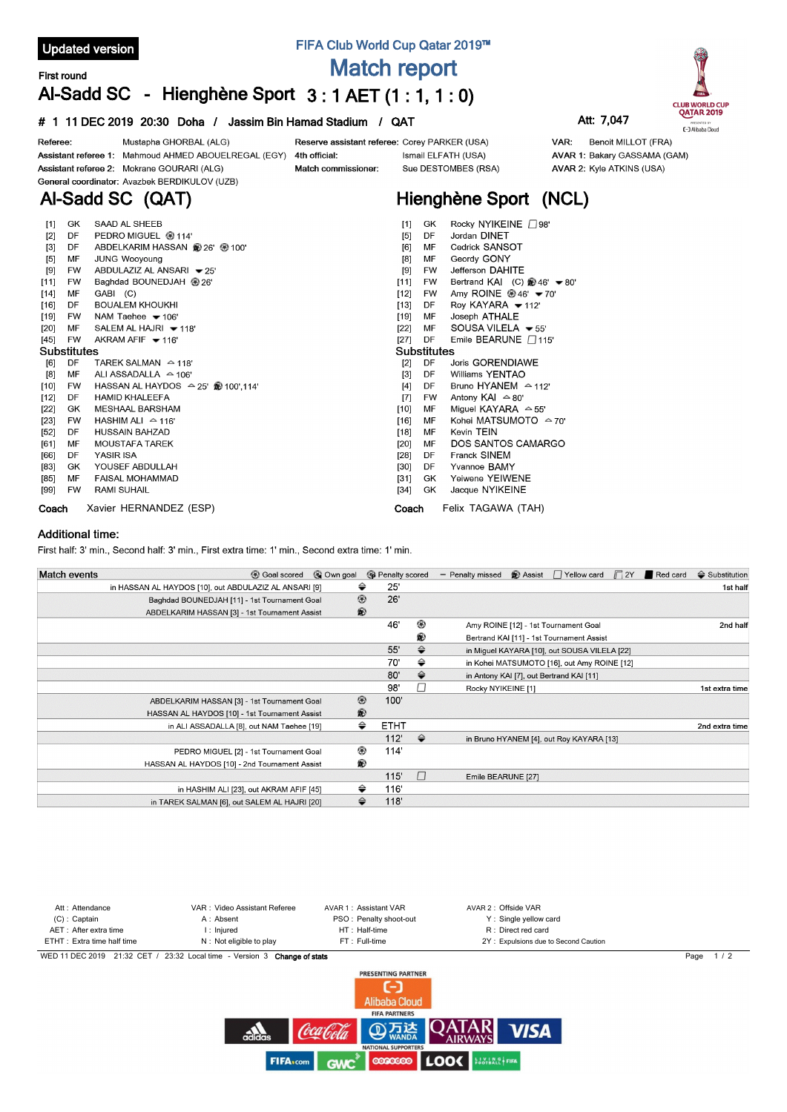

**Coach** Xavier HERNANDEZ (ESP)

## **Additional time:**

First half: 3' min., Second half: 3' min., First extra time: 1' min., Second extra time: 1' min.

| <b>Match events</b> | © Own goal<br><b>B</b> Goal scored                    |                | <b>B</b> Penalty scored |               | - Penalty missed   | <b>B</b> Assist | □ Yellow card                                | $\Box$ 2Y | Red card | $\triangleq$ Substitution |
|---------------------|-------------------------------------------------------|----------------|-------------------------|---------------|--------------------|-----------------|----------------------------------------------|-----------|----------|---------------------------|
|                     | in HASSAN AL HAYDOS [10], out ABDULAZIZ AL ANSARI [9] | ⇔              | 25'                     |               |                    |                 |                                              |           |          | 1st half                  |
|                     | Baghdad BOUNEDJAH [11] - 1st Tournament Goal          | ◉              | 26'                     |               |                    |                 |                                              |           |          |                           |
|                     | ABDELKARIM HASSAN [3] - 1st Tournament Assist         | $\circledR$    |                         |               |                    |                 |                                              |           |          |                           |
|                     |                                                       |                | 46'                     | ◉             |                    |                 | Amy ROINE [12] - 1st Tournament Goal         |           |          | 2nd half                  |
|                     |                                                       |                |                         | ®             |                    |                 | Bertrand KAI [11] - 1st Tournament Assist    |           |          |                           |
|                     |                                                       |                | 55'                     | ♦             |                    |                 | in Miguel KAYARA [10], out SOUSA VILELA [22] |           |          |                           |
|                     |                                                       |                | 70'                     | ⇔             |                    |                 | in Kohei MATSUMOTO [16], out Amy ROINE [12]  |           |          |                           |
|                     |                                                       |                | 80'                     | ⇔             |                    |                 | in Antony KAI [7], out Bertrand KAI [11]     |           |          |                           |
|                     |                                                       |                | 98'                     |               | Rocky NYIKEINE [1] |                 |                                              |           |          | 1st extra time            |
|                     | ABDELKARIM HASSAN [3] - 1st Tournament Goal           | $^{\circledR}$ | 100'                    |               |                    |                 |                                              |           |          |                           |
|                     | HASSAN AL HAYDOS [10] - 1st Tournament Assist         | ®              |                         |               |                    |                 |                                              |           |          |                           |
|                     | in ALI ASSADALLA [8], out NAM Taehee [19]             | ⇔              | <b>ETHT</b>             |               |                    |                 |                                              |           |          | 2nd extra time            |
|                     |                                                       |                | 112'                    | $\Rightarrow$ |                    |                 | in Bruno HYANEM [4], out Roy KAYARA [13]     |           |          |                           |
|                     | PEDRO MIGUEL [2] - 1st Tournament Goal                | ◉              | 114'                    |               |                    |                 |                                              |           |          |                           |
|                     | HASSAN AL HAYDOS [10] - 2nd Tournament Assist         | ®              |                         |               |                    |                 |                                              |           |          |                           |
|                     |                                                       |                | 115'                    |               | Emile BEARUNE [27] |                 |                                              |           |          |                           |
|                     | in HASHIM ALI [23], out AKRAM AFIF [45]               | ⇔              | 116'                    |               |                    |                 |                                              |           |          |                           |
|                     | in TAREK SALMAN [6], out SALEM AL HAJRI [20]          | ⇔              | 118'                    |               |                    |                 |                                              |           |          |                           |

**Coach** Felix TAGAWA (TAH)